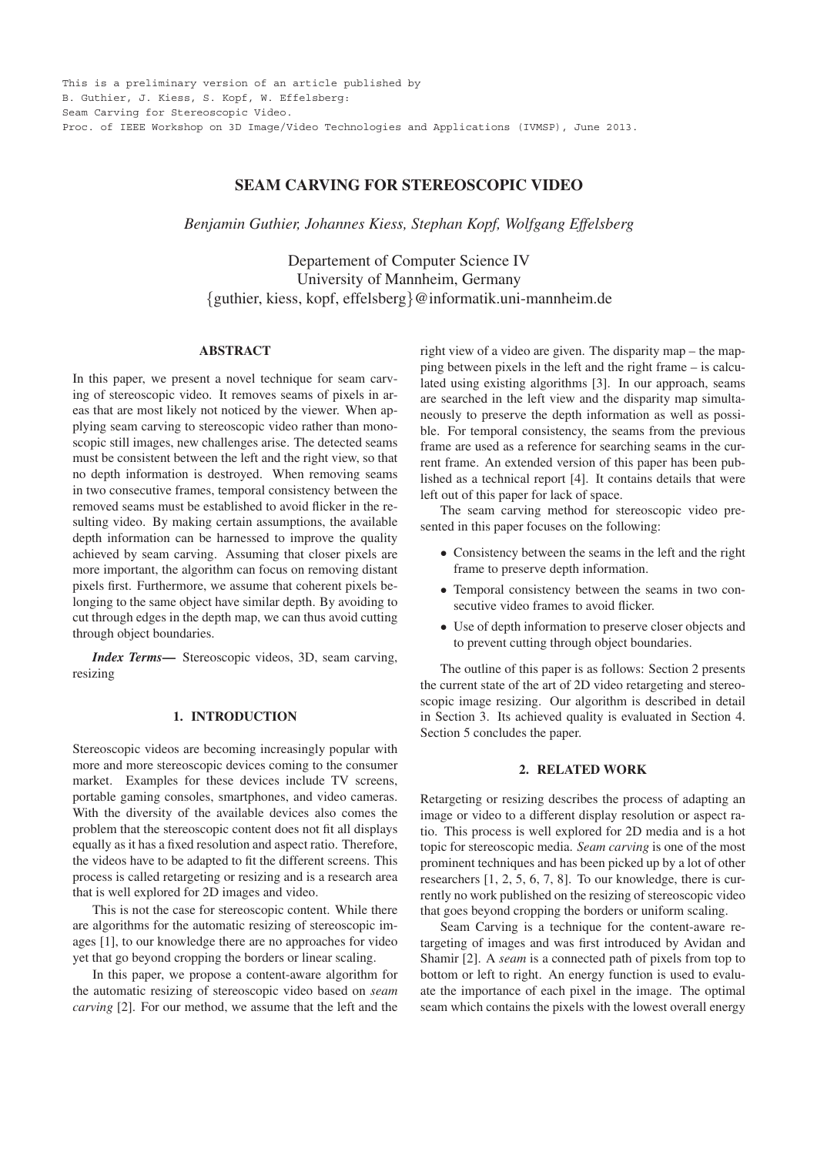# SEAM CARVING FOR STEREOSCOPIC VIDEO

*Benjamin Guthier, Johannes Kiess, Stephan Kopf, Wolfgang Effelsberg*

Departement of Computer Science IV University of Mannheim, Germany {guthier, kiess, kopf, effelsberg}@informatik.uni-mannheim.de

## ABSTRACT

In this paper, we present a novel technique for seam carving of stereoscopic video. It removes seams of pixels in areas that are most likely not noticed by the viewer. When applying seam carving to stereoscopic video rather than monoscopic still images, new challenges arise. The detected seams must be consistent between the left and the right view, so that no depth information is destroyed. When removing seams in two consecutive frames, temporal consistency between the removed seams must be established to avoid flicker in the resulting video. By making certain assumptions, the available depth information can be harnessed to improve the quality achieved by seam carving. Assuming that closer pixels are more important, the algorithm can focus on removing distant pixels first. Furthermore, we assume that coherent pixels belonging to the same object have similar depth. By avoiding to cut through edges in the depth map, we can thus avoid cutting through object boundaries.

*Index Terms*— Stereoscopic videos, 3D, seam carving, resizing

## 1. INTRODUCTION

Stereoscopic videos are becoming increasingly popular with more and more stereoscopic devices coming to the consumer market. Examples for these devices include TV screens, portable gaming consoles, smartphones, and video cameras. With the diversity of the available devices also comes the problem that the stereoscopic content does not fit all displays equally as it has a fixed resolution and aspect ratio. Therefore, the videos have to be adapted to fit the different screens. This process is called retargeting or resizing and is a research area that is well explored for 2D images and video.

This is not the case for stereoscopic content. While there are algorithms for the automatic resizing of stereoscopic images [1], to our knowledge there are no approaches for video yet that go beyond cropping the borders or linear scaling.

In this paper, we propose a content-aware algorithm for the automatic resizing of stereoscopic video based on *seam carving* [2]. For our method, we assume that the left and the right view of a video are given. The disparity map – the mapping between pixels in the left and the right frame – is calculated using existing algorithms [3]. In our approach, seams are searched in the left view and the disparity map simultaneously to preserve the depth information as well as possible. For temporal consistency, the seams from the previous frame are used as a reference for searching seams in the current frame. An extended version of this paper has been published as a technical report [4]. It contains details that were left out of this paper for lack of space.

The seam carving method for stereoscopic video presented in this paper focuses on the following:

- Consistency between the seams in the left and the right frame to preserve depth information.
- Temporal consistency between the seams in two consecutive video frames to avoid flicker.
- Use of depth information to preserve closer objects and to prevent cutting through object boundaries.

The outline of this paper is as follows: Section 2 presents the current state of the art of 2D video retargeting and stereoscopic image resizing. Our algorithm is described in detail in Section 3. Its achieved quality is evaluated in Section 4. Section 5 concludes the paper.

### 2. RELATED WORK

Retargeting or resizing describes the process of adapting an image or video to a different display resolution or aspect ratio. This process is well explored for 2D media and is a hot topic for stereoscopic media. *Seam carving* is one of the most prominent techniques and has been picked up by a lot of other researchers [1, 2, 5, 6, 7, 8]. To our knowledge, there is currently no work published on the resizing of stereoscopic video that goes beyond cropping the borders or uniform scaling.

Seam Carving is a technique for the content-aware retargeting of images and was first introduced by Avidan and Shamir [2]. A *seam* is a connected path of pixels from top to bottom or left to right. An energy function is used to evaluate the importance of each pixel in the image. The optimal seam which contains the pixels with the lowest overall energy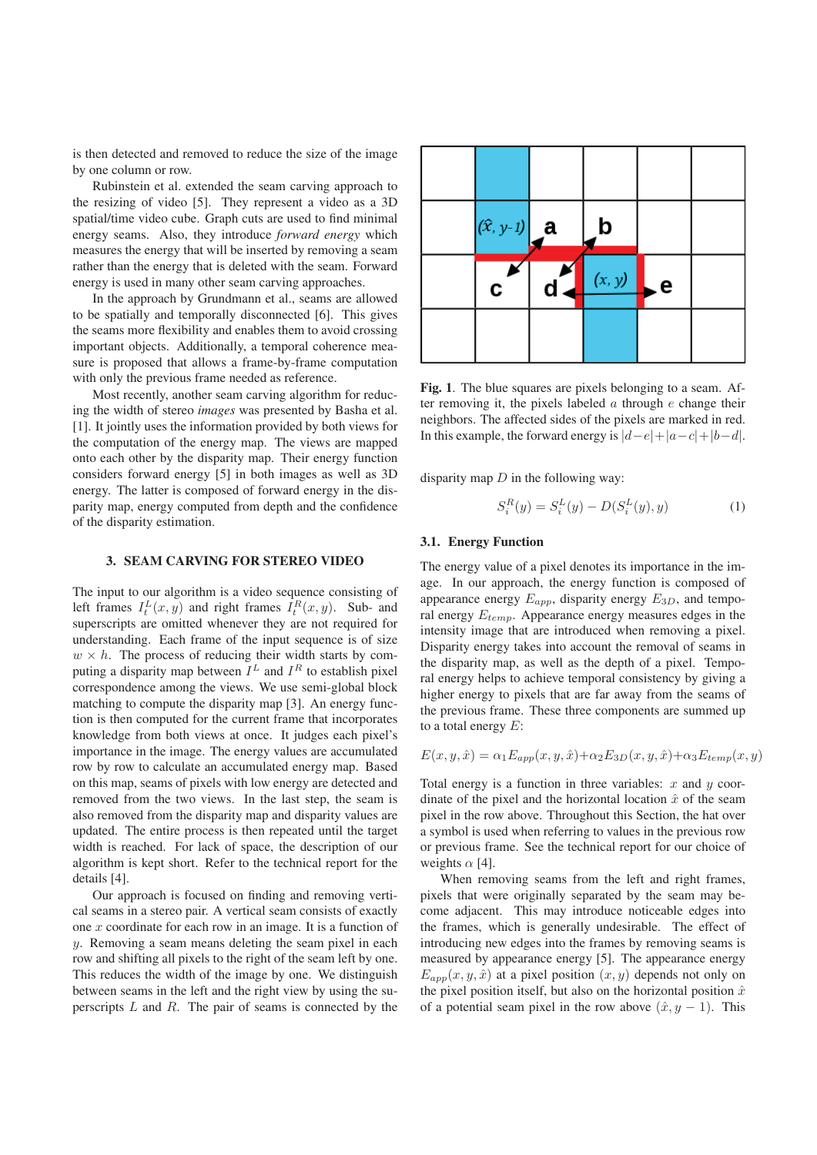is then detected and removed to reduce the size of the image by one column or row.

Rubinstein et al. extended the seam carving approach to the resizing of video [5]. They represent a video as a 3D spatial/time video cube. Graph cuts are used to find minimal energy seams. Also, they introduce *forward energy* which measures the energy that will be inserted by removing a seam rather than the energy that is deleted with the seam. Forward energy is used in many other seam carving approaches.

In the approach by Grundmann et al., seams are allowed to be spatially and temporally disconnected [6]. This gives the seams more flexibility and enables them to avoid crossing important objects. Additionally, a temporal coherence measure is proposed that allows a frame-by-frame computation with only the previous frame needed as reference.

Most recently, another seam carving algorithm for reducing the width of stereo *images* was presented by Basha et al. [1]. It jointly uses the information provided by both views for the computation of the energy map. The views are mapped onto each other by the disparity map. Their energy function considers forward energy [5] in both images as well as 3D energy. The latter is composed of forward energy in the disparity map, energy computed from depth and the confidence of the disparity estimation.

## 3. SEAM CARVING FOR STEREO VIDEO

The input to our algorithm is a video sequence consisting of left frames  $I_t^L(x, y)$  and right frames  $I_t^R(x, y)$ . Sub- and superscripts are omitted whenever they are not required for understanding. Each frame of the input sequence is of size  $w \times h$ . The process of reducing their width starts by computing a disparity map between  $I^L$  and  $I^R$  to establish pixel correspondence among the views. We use semi-global block matching to compute the disparity map [3]. An energy function is then computed for the current frame that incorporates knowledge from both views at once. It judges each pixel's importance in the image. The energy values are accumulated row by row to calculate an accumulated energy map. Based on this map, seams of pixels with low energy are detected and removed from the two views. In the last step, the seam is also removed from the disparity map and disparity values are updated. The entire process is then repeated until the target width is reached. For lack of space, the description of our algorithm is kept short. Refer to the technical report for the details [4].

Our approach is focused on finding and removing vertical seams in a stereo pair. A vertical seam consists of exactly one x coordinate for each row in an image. It is a function of y. Removing a seam means deleting the seam pixel in each row and shifting all pixels to the right of the seam left by one. This reduces the width of the image by one. We distinguish between seams in the left and the right view by using the superscripts  $L$  and  $R$ . The pair of seams is connected by the



Fig. 1. The blue squares are pixels belonging to a seam. After removing it, the pixels labeled  $\alpha$  through  $e$  change their neighbors. The affected sides of the pixels are marked in red. In this example, the forward energy is  $|d-e|+|a-c|+|b-d|$ .

disparity map  $D$  in the following way:

$$
S_i^R(y) = S_i^L(y) - D(S_i^L(y), y)
$$
 (1)

#### 3.1. Energy Function

The energy value of a pixel denotes its importance in the image. In our approach, the energy function is composed of appearance energy  $E_{app}$ , disparity energy  $E_{3D}$ , and temporal energy  $E_{temp}$ . Appearance energy measures edges in the intensity image that are introduced when removing a pixel. Disparity energy takes into account the removal of seams in the disparity map, as well as the depth of a pixel. Temporal energy helps to achieve temporal consistency by giving a higher energy to pixels that are far away from the seams of the previous frame. These three components are summed up to a total energy  $E$ :

$$
E(x, y, \hat{x}) = \alpha_1 E_{app}(x, y, \hat{x}) + \alpha_2 E_{3D}(x, y, \hat{x}) + \alpha_3 E_{temp}(x, y)
$$

Total energy is a function in three variables:  $x$  and  $y$  coordinate of the pixel and the horizontal location  $\hat{x}$  of the seam pixel in the row above. Throughout this Section, the hat over a symbol is used when referring to values in the previous row or previous frame. See the technical report for our choice of weights  $\alpha$  [4].

When removing seams from the left and right frames, pixels that were originally separated by the seam may become adjacent. This may introduce noticeable edges into the frames, which is generally undesirable. The effect of introducing new edges into the frames by removing seams is measured by appearance energy [5]. The appearance energy  $E_{app}(x, y, \hat{x})$  at a pixel position  $(x, y)$  depends not only on the pixel position itself, but also on the horizontal position  $\hat{x}$ of a potential seam pixel in the row above  $(\hat{x}, y - 1)$ . This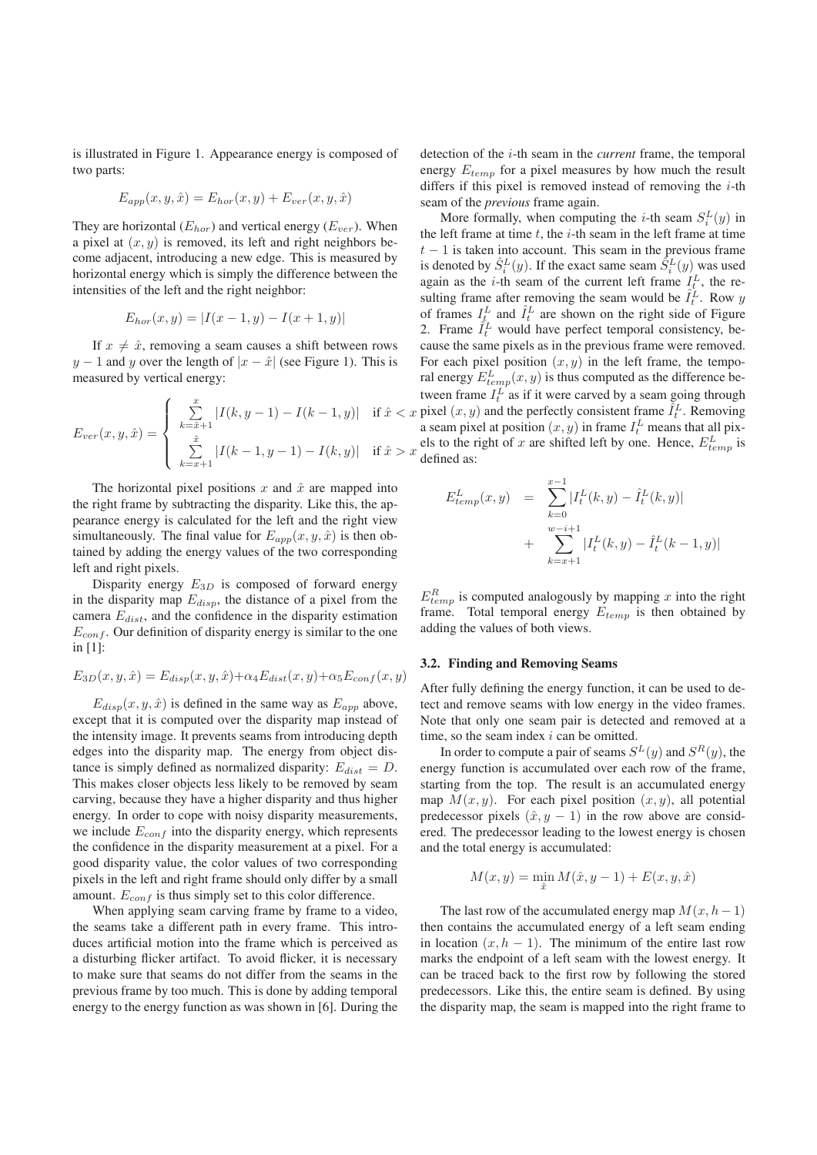is illustrated in Figure 1. Appearance energy is composed of two parts:

$$
E_{app}(x, y, \hat{x}) = E_{hor}(x, y) + E_{ver}(x, y, \hat{x})
$$

They are horizontal  $(E_{hor})$  and vertical energy  $(E_{ver})$ . When a pixel at  $(x, y)$  is removed, its left and right neighbors become adjacent, introducing a new edge. This is measured by horizontal energy which is simply the difference between the intensities of the left and the right neighbor:

$$
E_{hor}(x, y) = |I(x - 1, y) - I(x + 1, y)|
$$

If  $x \neq \hat{x}$ , removing a seam causes a shift between rows  $y - 1$  and y over the length of  $|x - \hat{x}|$  (see Figure 1). This is measured by vertical energy:

$$
E_{ver}(x, y, \hat{x}) = \begin{cases} \sum_{k=\hat{x}+1}^{x} |I(k, y-1) - I(k-1, y)| & \text{if } \hat{x} < x\\ \sum_{k=x+1}^{\hat{x}} |I(k-1, y-1) - I(k, y)| & \text{if } \hat{x} > x \end{cases}
$$

The horizontal pixel positions x and  $\hat{x}$  are mapped into the right frame by subtracting the disparity. Like this, the appearance energy is calculated for the left and the right view simultaneously. The final value for  $E_{app}(x, y, \hat{x})$  is then obtained by adding the energy values of the two corresponding left and right pixels.

Disparity energy  $E_{3D}$  is composed of forward energy in the disparity map  $E_{disp}$ , the distance of a pixel from the camera  $E_{dist}$ , and the confidence in the disparity estimation  $E_{conf}$ . Our definition of disparity energy is similar to the one in [1]:

$$
E_{3D}(x, y, \hat{x}) = E_{disp}(x, y, \hat{x}) + \alpha_4 E_{dist}(x, y) + \alpha_5 E_{conf}(x, y)
$$

 $E_{disp}(x, y, \hat{x})$  is defined in the same way as  $E_{app}$  above, except that it is computed over the disparity map instead of the intensity image. It prevents seams from introducing depth edges into the disparity map. The energy from object distance is simply defined as normalized disparity:  $E_{dist} = D$ . This makes closer objects less likely to be removed by seam carving, because they have a higher disparity and thus higher energy. In order to cope with noisy disparity measurements, we include  $E_{conf}$  into the disparity energy, which represents the confidence in the disparity measurement at a pixel. For a good disparity value, the color values of two corresponding pixels in the left and right frame should only differ by a small amount.  $E_{conf}$  is thus simply set to this color difference.

When applying seam carving frame by frame to a video, the seams take a different path in every frame. This introduces artificial motion into the frame which is perceived as a disturbing flicker artifact. To avoid flicker, it is necessary to make sure that seams do not differ from the seams in the previous frame by too much. This is done by adding temporal energy to the energy function as was shown in [6]. During the detection of the i-th seam in the *current* frame, the temporal energy  $E_{temp}$  for a pixel measures by how much the result differs if this pixel is removed instead of removing the  $i$ -th seam of the *previous* frame again.

More formally, when computing the *i*-th seam  $S_i^L(y)$  in the left frame at time  $t$ , the  $i$ -th seam in the left frame at time  $t - 1$  is taken into account. This seam in the previous frame is denoted by  $\hat{S}_i^L(y)$ . If the exact same seam  $\hat{S}_i^L(y)$  was used again as the *i*-th seam of the current left frame  $I_t^L$ , the resulting frame after removing the seam would be  $\hat{I}_t^L$ . Row y of frames  $I_t^L$  and  $\hat{I}_t^L$  are shown on the right side of Figure 2. Frame  $\tilde{I}_t^L$  would have perfect temporal consistency, because the same pixels as in the previous frame were removed. For each pixel position  $(x, y)$  in the left frame, the temporal energy  $E_{temp}^L(x, y)$  is thus computed as the difference between frame  $I_t^L$  as if it were carved by a seam going through pixel  $(x, y)$  and the perfectly consistent frame  $\tilde{I}_t^L$ . Removing a seam pixel at position  $(x, y)$  in frame  $I_t^L$  means that all pixels to the right of x are shifted left by one. Hence,  $E_{temp}^L$  is defined as:

$$
E_{temp}^{L}(x, y) = \sum_{k=0}^{x-1} |I_{t}^{L}(k, y) - \hat{I}_{t}^{L}(k, y)|
$$
  
+ 
$$
\sum_{k=x+1}^{w-i+1} |I_{t}^{L}(k, y) - \hat{I}_{t}^{L}(k-1, y)|
$$

 $E_{temp}^R$  is computed analogously by mapping x into the right frame. Total temporal energy  $E_{temp}$  is then obtained by adding the values of both views.

### 3.2. Finding and Removing Seams

After fully defining the energy function, it can be used to detect and remove seams with low energy in the video frames. Note that only one seam pair is detected and removed at a time, so the seam index  $i$  can be omitted.

In order to compute a pair of seams  $S<sup>L</sup>(y)$  and  $S<sup>R</sup>(y)$ , the energy function is accumulated over each row of the frame, starting from the top. The result is an accumulated energy map  $M(x, y)$ . For each pixel position  $(x, y)$ , all potential predecessor pixels  $(\hat{x}, y - 1)$  in the row above are considered. The predecessor leading to the lowest energy is chosen and the total energy is accumulated:

$$
M(x, y) = \min_{\hat{x}} M(\hat{x}, y - 1) + E(x, y, \hat{x})
$$

The last row of the accumulated energy map  $M(x, h - 1)$ then contains the accumulated energy of a left seam ending in location  $(x, h - 1)$ . The minimum of the entire last row marks the endpoint of a left seam with the lowest energy. It can be traced back to the first row by following the stored predecessors. Like this, the entire seam is defined. By using the disparity map, the seam is mapped into the right frame to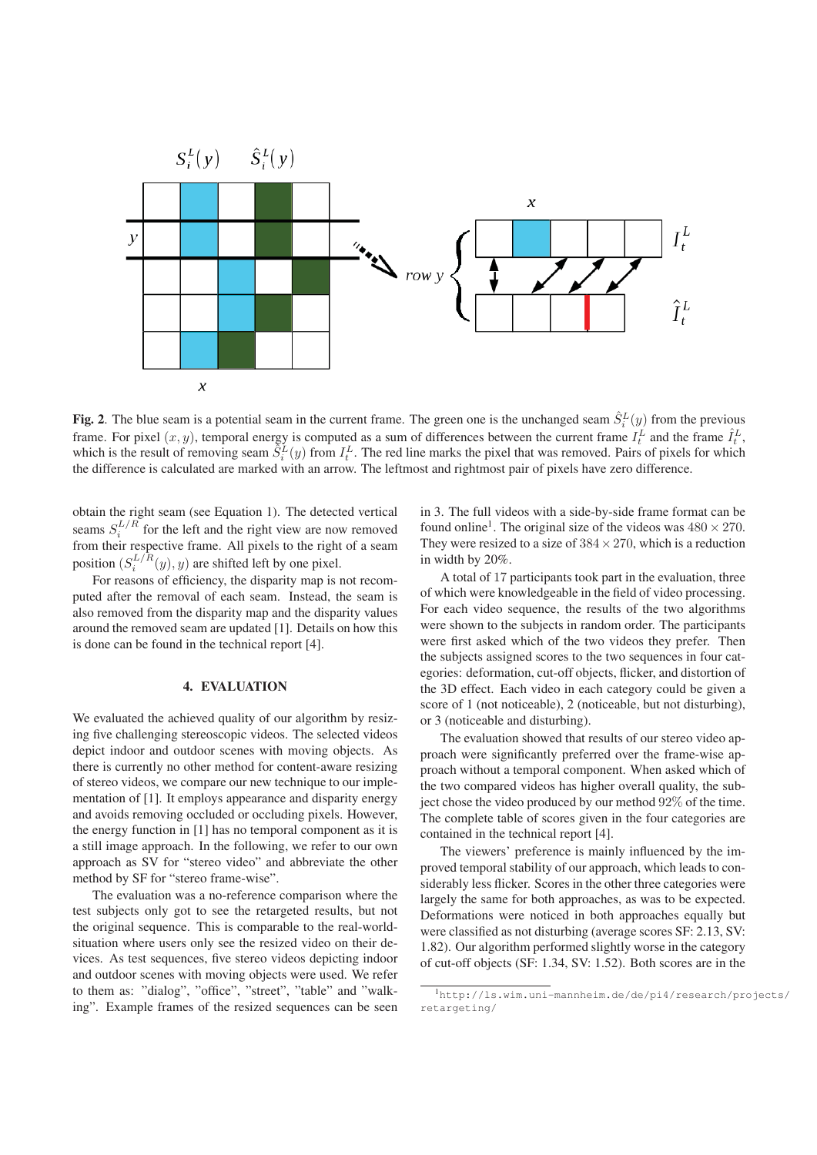

Fig. 2. The blue seam is a potential seam in the current frame. The green one is the unchanged seam  $\hat{S}_i^L(y)$  from the previous frame. For pixel  $(x, y)$ , temporal energy is computed as a sum of differences between the current frame  $I_t^L$  and the frame  $\hat{I}_t^L$ . which is the result of removing seam  $\tilde{S}_i^L(y)$  from  $I_t^L$ . The red line marks the pixel that was removed. Pairs of pixels for which the difference is calculated are marked with an arrow. The leftmost and rightmost pair of pixels have zero difference.

obtain the right seam (see Equation 1). The detected vertical seams  $S_i^{L/R}$  for the left and the right view are now removed from their respective frame. All pixels to the right of a seam position  $(S_i^{L/R}(y), y)$  are shifted left by one pixel.

For reasons of efficiency, the disparity map is not recomputed after the removal of each seam. Instead, the seam is also removed from the disparity map and the disparity values around the removed seam are updated [1]. Details on how this is done can be found in the technical report [4].

## 4. EVALUATION

We evaluated the achieved quality of our algorithm by resizing five challenging stereoscopic videos. The selected videos depict indoor and outdoor scenes with moving objects. As there is currently no other method for content-aware resizing of stereo videos, we compare our new technique to our implementation of [1]. It employs appearance and disparity energy and avoids removing occluded or occluding pixels. However, the energy function in [1] has no temporal component as it is a still image approach. In the following, we refer to our own approach as SV for "stereo video" and abbreviate the other method by SF for "stereo frame-wise".

The evaluation was a no-reference comparison where the test subjects only got to see the retargeted results, but not the original sequence. This is comparable to the real-worldsituation where users only see the resized video on their devices. As test sequences, five stereo videos depicting indoor and outdoor scenes with moving objects were used. We refer to them as: "dialog", "office", "street", "table" and "walking". Example frames of the resized sequences can be seen

in 3. The full videos with a side-by-side frame format can be found online<sup>1</sup>. The original size of the videos was  $480 \times 270$ . They were resized to a size of  $384 \times 270$ , which is a reduction in width by 20%.

A total of 17 participants took part in the evaluation, three of which were knowledgeable in the field of video processing. For each video sequence, the results of the two algorithms were shown to the subjects in random order. The participants were first asked which of the two videos they prefer. Then the subjects assigned scores to the two sequences in four categories: deformation, cut-off objects, flicker, and distortion of the 3D effect. Each video in each category could be given a score of 1 (not noticeable), 2 (noticeable, but not disturbing), or 3 (noticeable and disturbing).

The evaluation showed that results of our stereo video approach were significantly preferred over the frame-wise approach without a temporal component. When asked which of the two compared videos has higher overall quality, the subject chose the video produced by our method 92% of the time. The complete table of scores given in the four categories are contained in the technical report [4].

The viewers' preference is mainly influenced by the improved temporal stability of our approach, which leads to considerably less flicker. Scores in the other three categories were largely the same for both approaches, as was to be expected. Deformations were noticed in both approaches equally but were classified as not disturbing (average scores SF: 2.13, SV: 1.82). Our algorithm performed slightly worse in the category of cut-off objects (SF: 1.34, SV: 1.52). Both scores are in the

<sup>1</sup>http://ls.wim.uni-mannheim.de/de/pi4/research/projects/ retargeting/